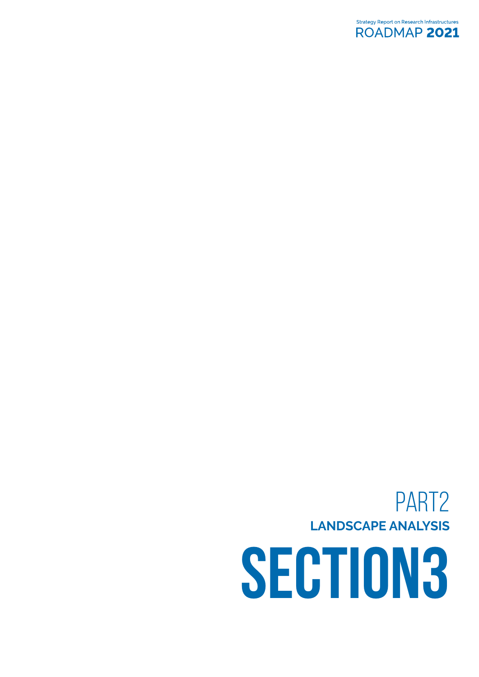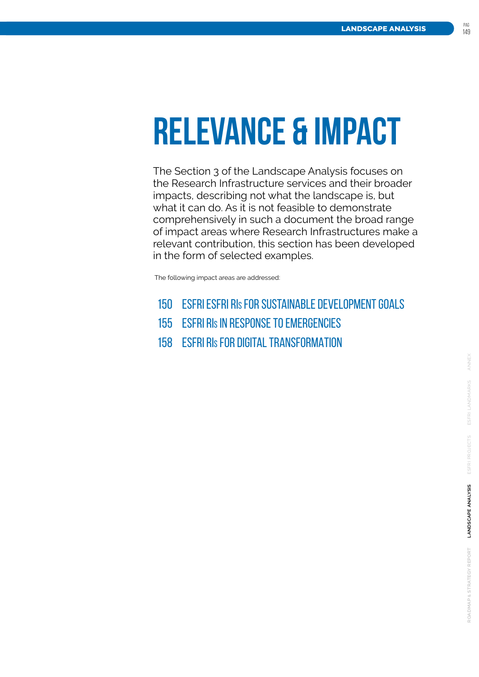# **RELEVANCE & IMPACT**

The Section 3 of the Landscape Analysis focuses on the Research Infrastructure services and their broader impacts, describing not what the landscape is, but what it can do. As it is not feasible to demonstrate comprehensively in such a document the broad range of impact areas where Research Infrastructures make a relevant contribution, this section has been developed in the form of selected examples.

The following impact areas are addressed:

- 150 ESFRI ESFRI RIs [FOR SUSTAINABLE DEVELOPMENT GOALS](#page-3-0)
- 155 ESFRI RIs [IN RESPONSE TO EMERGENCIES](#page-8-0)
- 158 ESFRI RIs [FOR DIGITAL TRANSFORMATION](#page-11-0)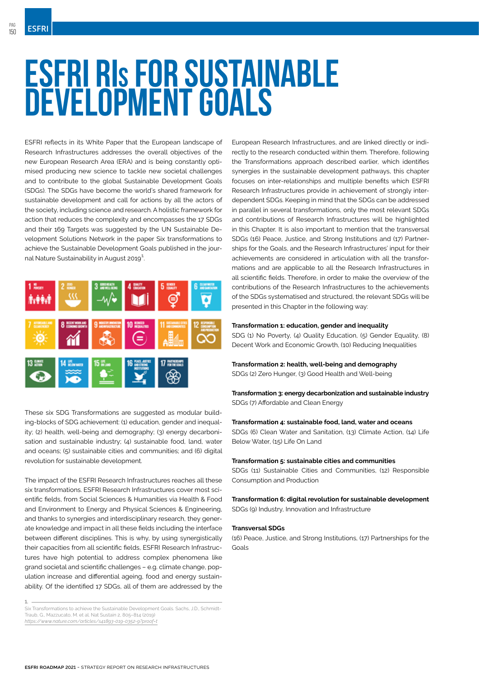# <span id="page-3-0"></span>**ESFRI RIs FOR SUSTAINABLE DEVELOPMENT GOALS**

ESFRI reflects in its White Paper that the European landscape of Research Infrastructures addresses the overall objectives of the new European Research Area (ERA) and is being constantly optimised producing new science to tackle new societal challenges and to contribute to the global Sustainable Development Goals (SDGs). The SDGs have become the world's shared framework for sustainable development and call for actions by all the actors of the society, including science and research. A holistic framework for action that reduces the complexity and encompasses the 17 SDGs and their 169 Targets was suggested by the UN Sustainable Development Solutions Network in the paper Six transformations to achieve the Sustainable Development Goals published in the journal Nature Sustainability in August 2019**<sup>1</sup>** .

| 1 <sub>max</sub><br>MÒ A         | $2 \frac{mn}{mn}$ | <b>LOODIKE ALTH</b><br><b>MOVIES SENS</b> | 4 BALTY              | <b>5 двиги</b><br>≘       | <b>CLEAN MALIER</b><br>6<br><b>DESANTATON</b> |
|----------------------------------|-------------------|-------------------------------------------|----------------------|---------------------------|-----------------------------------------------|
| AFFORDABLE AND<br>7              | DECENT WORK AND   | 9 ментализиров                            | 10 NOVEMBER<br>Ξ     | 11 DECIMBER CITES<br>1386 | <b>SUCKSET</b><br><b><i>MOPEDUCTOR</i></b>    |
| $13 \frac{\text{cm}}{\text{cm}}$ | 14 Harvara        | $15III_{500}$                             | 16<br><b>THEFT I</b> | 17 PARTNERSHIPS           |                                               |

These six SDG Transformations are suggested as modular building-blocks of SDG achievement: (1) education, gender and inequality; (2) health, well-being and demography; (3) energy decarbonisation and sustainable industry; (4) sustainable food, land, water and oceans; (5) sustainable cities and communities; and (6) digital revolution for sustainable development.

The impact of the ESFRI Research Infrastructures reaches all these six transformations. ESFRI Research Infrastructures cover most scientific fields, from Social Sciences & Humanities via Health & Food and Environment to Energy and Physical Sciences & Engineering, and thanks to synergies and interdisciplinary research, they generate knowledge and impact in all these fields including the interface between different disciplines. This is why, by using synergistically their capacities from all scientific fields, ESFRI Research Infrastructures have high potential to address complex phenomena like grand societal and scientific challenges – e.g. climate change, population increase and differential ageing, food and energy sustainability. Of the identified 17 SDGs, all of them are addressed by the

European Research Infrastructures, and are linked directly or indirectly to the research conducted within them. Therefore, following the Transformations approach described earlier, which identifies synergies in the sustainable development pathways, this chapter focuses on inter-relationships and multiple benefits which ESFRI Research Infrastructures provide in achievement of strongly interdependent SDGs. Keeping in mind that the SDGs can be addressed in parallel in several transformations, only the most relevant SDGs and contributions of Research Infrastructures will be highlighted in this Chapter. It is also important to mention that the transversal SDGs (16) Peace, Justice, and Strong Institutions and (17) Partnerships for the Goals, and the Research Infrastructures' input for their achievements are considered in articulation with all the transformations and are applicable to all the Research Infrastructures in all scientific fields. Therefore, in order to make the overview of the contributions of the Research Infrastructures to the achievements of the SDGs systematised and structured, the relevant SDGs will be presented in this Chapter in the following way:

#### **Transformation 1: education, gender and inequality**

SDG (1) No Poverty, (4) Quality Education, (5) Gender Equality, (8) Decent Work and Economic Growth, (10) Reducing Inequalities

#### **Transformation 2: health, well-being and demography**

SDGs (2) Zero Hunger, (3) Good Health and Well-being

#### **Transformation 3: energy decarbonization and sustainable industry** SDGs (7) Affordable and Clean Energy

#### **Transformation 4: sustainable food, land, water and oceans**

SDGs (6) Clean Water and Sanitation, (13) Climate Action, (14) Life Below Water, (15) Life On Land

#### **Transformation 5: sustainable cities and communities**

SDGs (11) Sustainable Cities and Communities, (12) Responsible Consumption and Production

**Transformation 6: digital revolution for sustainable development** SDGs (9) Industry, Innovation and Infrastructure

#### **Transversal SDGs**

(16) Peace, Justice, and Strong Institutions, (17) Partnerships for the Goals

**<sup>1.</sup>** Six Transformations to achieve the Sustainable Development Goals. Sachs, J.D., Schmidt-Traub, G., Mazzucato, M. et al. Nat Sustain 2, 805–814 (2019) *https://www.nature.com/articles/s41893-019-0352-9?proof=t*

**esfri roadmap 2021** - strategy report on research infrastructures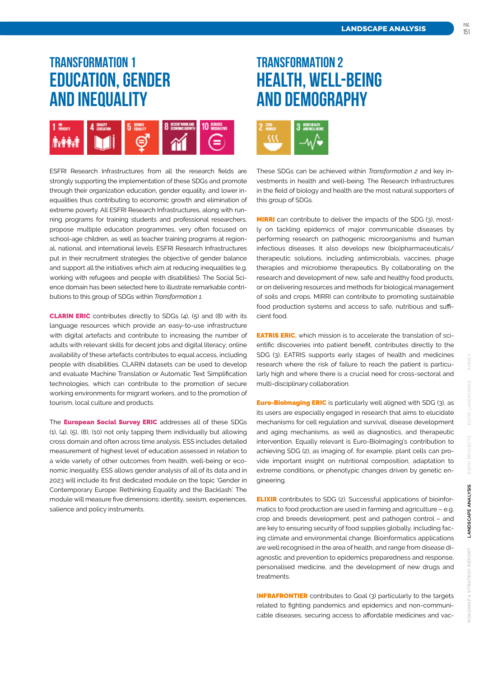### **TRANSFORMATION 1 education, gender and inequality**



ESFRI Research Infrastructures from all the research fields are strongly supporting the implementation of these SDGs and promote through their organization education, gender equality, and lower inequalities thus contributing to economic growth and elimination of extreme poverty. All ESFRI Research Infrastructures, along with running programs for training students and professional researchers, propose multiple education programmes, very often focused on school-age children, as well as teacher training programs at regional, national, and international levels. ESFRI Research Infrastructures put in their recruitment strategies the objective of gender balance and support all the initiatives which aim at reducing inequalities (e.g. working with refugees and people with disabilities). The Social Science domain has been selected here to illustrate remarkable contributions to this group of SDGs within *Transformation 1*.

CLARIN ERIC contributes directly to SDGs (4), (5) and (8) with its language resources which provide an easy-to-use infrastructure with digital artefacts and contribute to increasing the number of adults with relevant skills for decent jobs and digital literacy; online availability of these artefacts contributes to equal access, including people with disabilities. CLARIN datasets can be used to develop and evaluate Machine Translation or Automatic Text Simplification technologies, which can contribute to the promotion of secure working environments for migrant workers, and to the promotion of tourism, local culture and products.

The **European Social Survey ERIC** addresses all of these SDGs (1), (4), (5), (8), (10) not only tapping them individually but allowing cross domain and often across time analysis. ESS includes detailed measurement of highest level of education assessed in relation to a wide variety of other outcomes from health, well-being or economic inequality. ESS allows gender analysis of all of its data and in 2023 will include its first dedicated module on the topic 'Gender in Contemporary Europe: Rethinking Equality and the Backlash'. The module will measure five dimensions: identity, sexism, experiences, salience and policy instruments.

### **TRANSFORMATION 2 health, well-being and demography**



These SDGs can be achieved within *Transformation 2* and key investments in health and well-being. The Research Infrastructures in the field of biology and health are the most natural supporters of this group of SDGs.

**MIRRI** can contribute to deliver the impacts of the SDG (3), mostly on tackling epidemics of major communicable diseases by performing research on pathogenic microorganisms and human infectious diseases. It also develops new (bio)pharmaceuticals/ therapeutic solutions, including antimicrobials, vaccines, phage therapies and microbiome therapeutics. By collaborating on the research and development of new, safe and healthy food products, or on delivering resources and methods for biological management of soils and crops, MIRRI can contribute to promoting sustainable food production systems and access to safe, nutritious and sufficient food.

**EATRIS ERIC**, which mission is to accelerate the translation of scientific discoveries into patient benefit, contributes directly to the SDG (3). EATRIS supports early stages of health and medicines research where the risk of failure to reach the patient is particularly high and where there is a crucial need for cross-sectoral and multi-disciplinary collaboration.

**Euro-BioImaging ERIC** is particularly well aligned with SDG (3), as its users are especially engaged in research that aims to elucidate mechanisms for cell regulation and survival, disease development and aging mechanisms, as well as diagnostics, and therapeutic intervention. Equally relevant is Euro-BioImaging's contribution to achieving SDG (2), as imaging of, for example, plant cells can provide important insight on nutritional composition, adaptation to extreme conditions, or phenotypic changes driven by genetic engineering.

**ELIXIR** contributes to SDG (2). Successful applications of bioinformatics to food production are used in farming and agriculture – e.g. crop and breeds development, pest and pathogen control – and are key to ensuring security of food supplies globally, including facing climate and environmental change. Bioinformatics applications are well recognised in the area of health, and range from disease diagnostic and prevention to epidemics preparedness and response, personalised medicine, and the development of new drugs and treatments.

INFRAFRONTIER contributes to Goal (3) particularly to the targets related to fighting pandemics and epidemics and non-communicable diseases, securing access to affordable medicines and vac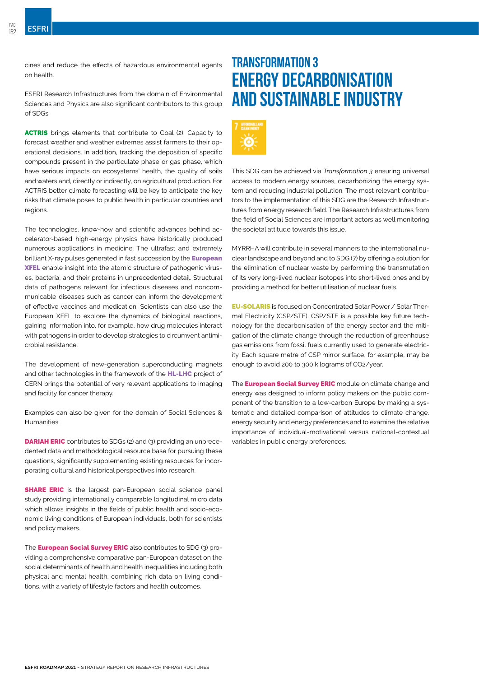cines and reduce the effects of hazardous environmental agents on health.

ESFRI Research Infrastructures from the domain of Environmental Sciences and Physics are also significant contributors to this group of SDGs.

ACTRIS brings elements that contribute to Goal (2). Capacity to forecast weather and weather extremes assist farmers to their operational decisions. In addition, tracking the deposition of specific compounds present in the particulate phase or gas phase, which have serious impacts on ecosystems' health, the quality of soils and waters and, directly or indirectly, on agricultural production. For ACTRIS better climate forecasting will be key to anticipate the key risks that climate poses to public health in particular countries and regions.

The technologies, know-how and scientific advances behind accelerator-based high-energy physics have historically produced numerous applications in medicine. The ultrafast and extremely brilliant X-ray pulses generated in fast succession by the **European** XFEL enable insight into the atomic structure of pathogenic viruses, bacteria, and their proteins in unprecedented detail. Structural data of pathogens relevant for infectious diseases and noncommunicable diseases such as cancer can inform the development of effective vaccines and medication. Scientists can also use the European XFEL to explore the dynamics of biological reactions, gaining information into, for example, how drug molecules interact with pathogens in order to develop strategies to circumvent antimicrobial resistance.

The development of new-generation superconducting magnets and other technologies in the framework of the **HL-LHC** project of CERN brings the potential of very relevant applications to imaging and facility for cancer therapy.

Examples can also be given for the domain of Social Sciences & **Humanities** 

DARIAH ERIC contributes to SDGs (2) and (3) providing an unprecedented data and methodological resource base for pursuing these questions, significantly supplementing existing resources for incorporating cultural and historical perspectives into research.

**SHARE ERIC** is the largest pan-European social science panel study providing internationally comparable longitudinal micro data which allows insights in the fields of public health and socio-economic living conditions of European individuals, both for scientists and policy makers.

The **European Social Survey ERIC** also contributes to SDG (3) providing a comprehensive comparative pan-European dataset on the social determinants of health and health inequalities including both physical and mental health, combining rich data on living conditions, with a variety of lifestyle factors and health outcomes.

### **TRANSFORMATION 3 energy decarbonisation and sustainable industry**



This SDG can be achieved via *Transformation 3* ensuring universal access to modern energy sources, decarbonizing the energy system and reducing industrial pollution. The most relevant contributors to the implementation of this SDG are the Research Infrastructures from energy research field. The Research Infrastructures from the field of Social Sciences are important actors as well monitoring the societal attitude towards this issue.

MYRRHA will contribute in several manners to the international nuclear landscape and beyond and to SDG (7) by offering a solution for the elimination of nuclear waste by performing the transmutation of its very long-lived nuclear isotopes into short-lived ones and by providing a method for better utilisation of nuclear fuels.

EU-SOLARIS is focused on Concentrated Solar Power / Solar Thermal Electricity (CSP/STE). CSP/STE is a possible key future technology for the decarbonisation of the energy sector and the mitigation of the climate change through the reduction of greenhouse gas emissions from fossil fuels currently used to generate electricity. Each square metre of CSP mirror surface, for example, may be enough to avoid 200 to 300 kilograms of CO2/year.

The **European Social Survey ERIC** module on climate change and energy was designed to inform policy makers on the public component of the transition to a low-carbon Europe by making a systematic and detailed comparison of attitudes to climate change, energy security and energy preferences and to examine the relative importance of individual-motivational versus national-contextual variables in public energy preferences.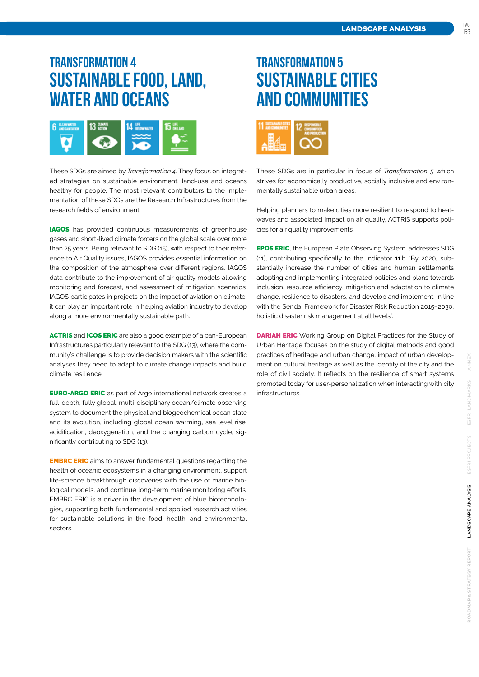### **TRANSFORMATION 4 sustainable food, land, water and oceans**



These SDGs are aimed by *Transformation 4*. They focus on integrated strategies on sustainable environment, land-use and oceans healthy for people. The most relevant contributors to the implementation of these SDGs are the Research Infrastructures from the research fields of environment.

**IAGOS** has provided continuous measurements of greenhouse gases and short-lived climate forcers on the global scale over more than 25 years. Being relevant to SDG (15), with respect to their reference to Air Quality issues, IAGOS provides essential information on the composition of the atmosphere over different regions. IAGOS data contribute to the improvement of air quality models allowing monitoring and forecast, and assessment of mitigation scenarios. IAGOS participates in projects on the impact of aviation on climate, it can play an important role in helping aviation industry to develop along a more environmentally sustainable path.

ACTRIS and ICOS ERIC are also a good example of a pan-European Infrastructures particularly relevant to the SDG (13), where the community's challenge is to provide decision makers with the scientific analyses they need to adapt to climate change impacts and build climate resilience.

**EURO-ARGO ERIC** as part of Argo international network creates a full-depth, fully global, multi-disciplinary ocean/climate observing system to document the physical and biogeochemical ocean state and its evolution, including global ocean warming, sea level rise, acidification, deoxygenation, and the changing carbon cycle, significantly contributing to SDG (13).

**EMBRC ERIC** aims to answer fundamental questions regarding the health of oceanic ecosystems in a changing environment, support life-science breakthrough discoveries with the use of marine biological models, and continue long-term marine monitoring efforts. EMBRC ERIC is a driver in the development of blue biotechnologies, supporting both fundamental and applied research activities for sustainable solutions in the food, health, and environmental sectors.

## **TRANSFORMATION 5 sustainable cities and communities**



These SDGs are in particular in focus of *Transformation 5* which strives for economically productive, socially inclusive and environmentally sustainable urban areas.

Helping planners to make cities more resilient to respond to heatwaves and associated impact on air quality, ACTRIS supports policies for air quality improvements.

EPOS ERIC, the European Plate Observing System, addresses SDG (11), contributing specifically to the indicator 11.b "By 2020, substantially increase the number of cities and human settlements adopting and implementing integrated policies and plans towards inclusion, resource efficiency, mitigation and adaptation to climate change, resilience to disasters, and develop and implement, in line with the Sendai Framework for Disaster Risk Reduction 2015–2030, holistic disaster risk management at all levels".

**DARIAH ERIC** Working Group on Digital Practices for the Study of Urban Heritage focuses on the study of digital methods and good practices of heritage and urban change, impact of urban development on cultural heritage as well as the identity of the city and the role of civil society. It reflects on the resilience of smart systems promoted today for user-personalization when interacting with city infrastructures.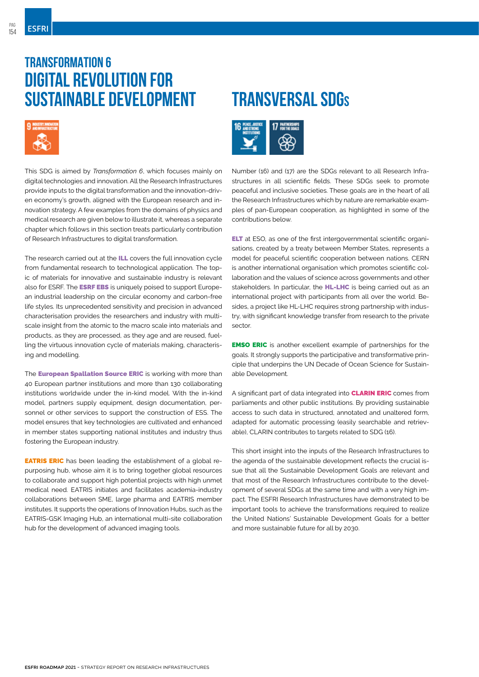### **TRANSFORMATION 6 digital revolution for sustainable development**



This SDG is aimed by *Transformation 6*, which focuses mainly on digital technologies and innovation. All the Research Infrastructures provide inputs to the digital transformation and the innovation-driven economy's growth, aligned with the European research and innovation strategy. A few examples from the domains of physics and medical research are given below to illustrate it, whereas a separate chapter which follows in this section treats particularly contribution of Research Infrastructures to digital transformation.

The research carried out at the **ILL** covers the full innovation cycle from fundamental research to technological application. The topic of materials for innovative and sustainable industry is relevant also for ESRF. The **ESRF EBS** is uniquely poised to support European industrial leadership on the circular economy and carbon-free life styles. Its unprecedented sensitivity and precision in advanced characterisation provides the researchers and industry with multiscale insight from the atomic to the macro scale into materials and products, as they are processed, as they age and are reused, fuelling the virtuous innovation cycle of materials making, characterising and modelling.

The **European Spallation Source ERIC** is working with more than 40 European partner institutions and more than 130 collaborating institutions worldwide under the in-kind model. With the in-kind model, partners supply equipment, design documentation, personnel or other services to support the construction of ESS. The model ensures that key technologies are cultivated and enhanced in member states supporting national institutes and industry thus fostering the European industry.

**EATRIS ERIC** has been leading the establishment of a global repurposing hub, whose aim it is to bring together global resources to collaborate and support high potential projects with high unmet medical need. EATRIS initiates and facilitates academia-industry collaborations between SME, large pharma and EATRIS member institutes. It supports the operations of Innovation Hubs, such as the EATRIS-GSK Imaging Hub, an international multi-site collaboration hub for the development of advanced imaging tools.

## **TRANSVERSAL SDG<sup>s</sup>**



Number (16) and (17) are the SDGs relevant to all Research Infrastructures in all scientific fields. These SDGs seek to promote peaceful and inclusive societies. These goals are in the heart of all the Research Infrastructures which by nature are remarkable examples of pan-European cooperation, as highlighted in some of the contributions below.

ELT at ESO, as one of the first intergovernmental scientific organisations, created by a treaty between Member States, represents a model for peaceful scientific cooperation between nations. CERN is another international organisation which promotes scientific collaboration and the values of science across governments and other stakeholders. In particular, the **HL-LHC** is being carried out as an international project with participants from all over the world. Besides, a project like HL-LHC requires strong partnership with industry, with significant knowledge transfer from research to the private sector.

**EMSO ERIC** is another excellent example of partnerships for the goals. It strongly supports the participative and transformative principle that underpins the UN Decade of Ocean Science for Sustainable Development.

A significant part of data integrated into **CLARIN ERIC** comes from parliaments and other public institutions. By providing sustainable access to such data in structured, annotated and unaltered form, adapted for automatic processing (easily searchable and retrievable), CLARIN contributes to targets related to SDG (16).

This short insight into the inputs of the Research Infrastructures to the agenda of the sustainable development reflects the crucial issue that all the Sustainable Development Goals are relevant and that most of the Research Infrastructures contribute to the development of several SDGs at the same time and with a very high impact. The ESFRI Research Infrastructures have demonstrated to be important tools to achieve the transformations required to realize the United Nations' Sustainable Development Goals for a better and more sustainable future for all by 2030.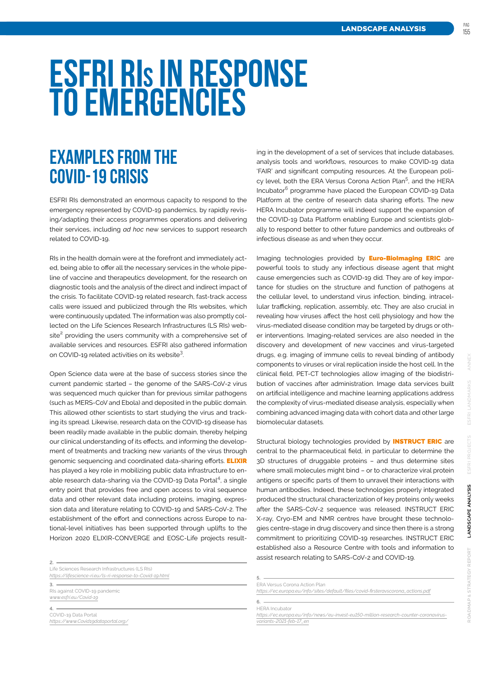pag

# <span id="page-8-0"></span>**ESFRI RIs IN RESPONSE TO EMERGENCIES**

## **EXAMPLES FROM THE COVID-19 CRISIS**

ESFRI RIs demonstrated an enormous capacity to respond to the emergency represented by COVID-19 pandemics, by rapidly revising/adapting their access programmes operations and delivering their services, including *ad hoc* new services to support research related to COVID-19.

RIs in the health domain were at the forefront and immediately acted, being able to offer all the necessary services in the whole pipeline of vaccine and therapeutics development, for the research on diagnostic tools and the analysis of the direct and indirect impact of the crisis. To facilitate COVID-19 related research, fast-track access calls were issued and publicized through the RIs websites, which were continuously updated. The information was also promptly collected on the Life Sciences Research Infrastructures (LS RIs) website**<sup>2</sup>** providing the users community with a comprehensive set of available services and resources. ESFRI also gathered information on COVID-19 related activities on its website**<sup>3</sup>** .

Open Science data were at the base of success stories since the current pandemic started – the genome of the SARS-CoV-2 virus was sequenced much quicker than for previous similar pathogens (such as MERS-CoV and Ebola) and deposited in the public domain. This allowed other scientists to start studying the virus and tracking its spread. Likewise, research data on the COVID-19 disease has been readily made available in the public domain, thereby helping our clinical understanding of its effects, and informing the development of treatments and tracking new variants of the virus through genomic sequencing and coordinated data-sharing efforts. **ELIXIR** has played a key role in mobilizing public data infrastructure to enable research data-sharing via the COVID-19 Data Portal**<sup>4</sup>** , a single entry point that provides free and open access to viral sequence data and other relevant data including proteins, imaging, expression data and literature relating to COVID-19 and SARS-CoV-2. The establishment of the effort and connections across Europe to national-level initiatives has been supported through uplifts to the Horizon 2020 ELIXIR-CONVERGE and EOSC-Life projects result-

Life Sciences Research Infrastructures (LS RIs) *<https://lifescience-ri.eu/ls-ri-response-to-Covid-19.html>*

**3.** RIs against COVID-19 pandemic *[www.esfri.eu/Covid-19](http://www.esfri.eu/Covid-19)*

**4.**  COVID-19 Data Portal *<https://www.Covid19dataportal.org/>* ing in the development of a set of services that include databases, analysis tools and workflows, resources to make COVID-19 data 'FAIR' and significant computing resources. At the European policy level, both the ERA Versus Corona Action Plan**<sup>5</sup>** , and the HERA Incubator**6** programme have placed the European COVID-19 Data Platform at the centre of research data sharing efforts. The new HERA Incubator programme will indeed support the expansion of the COVID-19 Data Platform enabling Europe and scientists globally to respond better to other future pandemics and outbreaks of infectious disease as and when they occur.

Imaging technologies provided by **Euro-BioImaging ERIC** are powerful tools to study any infectious disease agent that might cause emergencies such as COVID-19 did. They are of key importance for studies on the structure and function of pathogens at the cellular level, to understand virus infection, binding, intracellular trafficking, replication, assembly, etc. They are also crucial in revealing how viruses affect the host cell physiology and how the virus-mediated disease condition may be targeted by drugs or other interventions. Imaging-related services are also needed in the discovery and development of new vaccines and virus-targeted drugs, e.g. imaging of immune cells to reveal binding of antibody components to viruses or viral replication inside the host cell. In the clinical field, PET-CT technologies allow imaging of the biodistribution of vaccines after administration. Image data services built on artificial intelligence and machine learning applications address the complexity of virus-mediated disease analysis, especially when combining advanced imaging data with cohort data and other large biomolecular datasets.

Structural biology technologies provided by **INSTRUCT ERIC** are central to the pharmaceutical field, in particular to determine the 3D structures of druggable proteins – and thus determine sites where small molecules might bind – or to characterize viral protein antigens or specific parts of them to unravel their interactions with human antibodies. Indeed, these technologies properly integrated produced the structural characterization of key proteins only weeks after the SARS-CoV-2 sequence was released. INSTRUCT ERIC X-ray, Cryo-EM and NMR centres have brought these technologies centre-stage in drug discovery and since then there is a strong commitment to prioritizing COVID-19 researches. INSTRUCT ERIC established also a Resource Centre with tools and information to assist research relating to SARS-CoV-2 and COVID-19. **2.**

| FRA Versus Corona Action Plan |                                                                                      |
|-------------------------------|--------------------------------------------------------------------------------------|
|                               | https://ec.europa.eu/info/sites/default/files/covid-firsteravscorona_actions.pdf     |
| HERA Incubator                |                                                                                      |
|                               |                                                                                      |
|                               | https://ec.europa.eu/info/news/eu-invest-eu150-million-research-counter-coronavirus- |
| variants-2021-feb-17 en       |                                                                                      |
|                               |                                                                                      |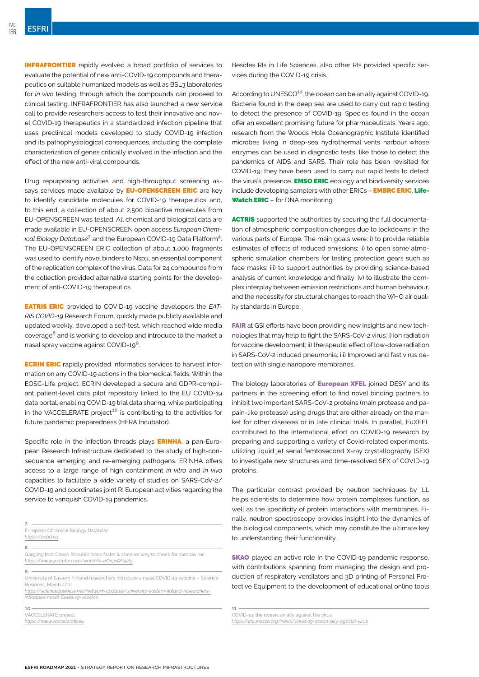**INFRAFRONTIER** rapidly evolved a broad portfolio of services to evaluate the potential of new anti-COVID-19 compounds and therapeutics on suitable humanized models as well as BSL3 laboratories for *in vivo* testing, through which the compounds can proceed to clinical testing. INFRAFRONTIER has also launched a new service call to provide researchers access to test their innovative and novel COVID-19 therapeutics in a standardized infection pipeline that uses preclinical models developed to study COVID-19 infection and its pathophysiological consequences, including the complete characterization of genes critically involved in the infection and the effect of the new anti-viral compounds.

Drug repurposing activities and high-throughput screening assays services made available by **EU-OPENSCREEN ERIC** are key to identify candidate molecules for COVID-19 therapeutics and, to this end, a collection of about 2,500 bioactive molecules from EU-OPENSCREEN was tested. All chemical and biological data are made available in EU-OPENSCREEN open access *European Chemical Biology Database***<sup>7</sup>** and the European COVID-19 Data Platform**<sup>4</sup>** . The EU-OPENSCREEN ERIC collection of about 1,000 fragments was used to identify novel binders to Nsp3, an essential component of the replication complex of the virus. Data for 24 compounds from the collection provided alternative starting points for the development of anti-COVID-19 therapeutics.

EATRIS ERIC provided to COVID-19 vaccine developers the *EAT-RIS COVID-19* Research Forum, quickly made publicly available and updated weekly, developed a self-test, which reached wide media coverage**8** and is working to develop and introduce to the market a nasal spray vaccine against COVID-19**9**.

ECRIN ERIC rapidly provided informatics services to harvest information on any COVID-19 actions in the biomedical fields. Within the EOSC-Life project, ECRIN developed a secure and GDPR-compliant patient-level data pilot repository linked to the EU COVID-19 data portal, enabling COVID-19 trial data sharing, while participating in the VACCELERATE project**10** is contributing to the activities for future pandemic preparedness (HERA Incubator).

Specific role in the infection threads plays **ERINHA**, a pan-European Research Infrastructure dedicated to the study of high-consequence emerging and re-emerging pathogens. ERINHA offers access to a large range of high containment *in vitro* and *in vivo*  capacities to facilitate a wide variety of studies on SARS-CoV-2/ COVID-19 and coordinates joint RI European activities regarding the service to vanquish COVID-19 pandemics.

Gargling test: Czech Republic trials faster & cheaper way to check for coronavirus *<https://www.youtube.com/watch?v=oOn3sQP92lg>*

**9.**

**10.**

**7.**

**8.**

*https://sciencebusiness.net/network-updates/university-eastern-finland-researchersintroduce-nasal-Covid-19-vaccine*

VACCELERATE project *https://www.vaccelerate.eu* Besides RIs in Life Sciences, also other RIs provided specific services during the COVID-19 crisis.

According to UNESCO<sup>11</sup>, the ocean can be an ally against COVID-19. Bacteria found in the deep sea are used to carry out rapid testing to detect the presence of COVID-19. Species found in the ocean offer an excellent promising future for pharmaceuticals. Years ago, research from the Woods Hole Oceanographic Institute identified microbes living in deep-sea hydrothermal vents harbour whose enzymes can be used in diagnostic tests, like those to detect the pandemics of AIDS and SARS. Their role has been revisited for COVID-19; they have been used to carry out rapid tests to detect the virus's presence. **EMSO ERIC** ecology and biodiversity services include developing samplers with other ERICs - EMBRC ERIC, Life-Watch ERIC - for DNA monitoring.

ACTRIS supported the authorities by securing the full documentation of atmospheric composition changes due to lockdowns in the various parts of Europe. The main goals were: i) to provide reliable estimates of effects of reduced emissions; ii) to open some atmospheric simulation chambers for testing protection gears such as face masks; iii) to support authorities by providing science-based analysis of current knowledge and finally; iv) to illustrate the complex interplay between emission restrictions and human behaviour, and the necessity for structural changes to reach the WHO air quality standards in Europe.

**FAIR** at GSI efforts have been providing new insights and new technologies that may help to fight the SARS-CoV-2 virus: i) ion radiation for vaccine development; ii) therapeutic effect of low-dose radiation in SARS-CoV-2 induced pneumonia; iii) Improved and fast virus detection with single nanopore membranes.

The biology laboratories of **European XFEL** joined DESY and its partners in the screening effort to find novel binding partners to inhibit two important SARS-CoV-2 proteins (main protease and papain-like protease) using drugs that are either already on the market for other diseases or in late clinical trials. In parallel, EuXFEL contributed to the international effort on COVID-19 research by preparing and supporting a variety of Covid-related experiments, utilizing liquid jet serial femtosecond X-ray crystallography (SFX) to investigate new structures and time-resolved SFX of COVID-19 proteins.

The particular contrast provided by neutron techniques by ILL helps scientists to determine how protein complexes function, as well as the specificity of protein interactions with membranes. Finally, neutron spectroscopy provides insight into the dynamics of the biological components, which may constitute the ultimate key to understanding their functionality.

**SKAO** played an active role in the COVID-19 pandemic response, with contributions spanning from managing the design and production of respiratory ventilators and 3D printing of Personal Protective Equipment to the development of educational online tools

COVID-19: the ocean, an ally against the virus *<https://en.unesco.org/news/covid-19-ocean-ally-against-virus>*

**11.**

European Chemical Biology Database *<https://ecbd.eu>*

University of Eastern Finland researchers introduce a nasal COVID-19 vaccine – Science Business, March 2021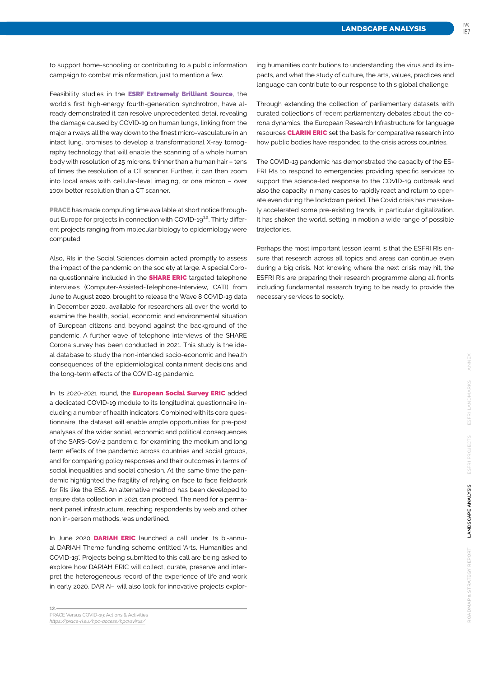pag

to support home-schooling or contributing to a public information campaign to combat misinformation, just to mention a few.

Feasibility studies in the **ESRF Extremely Brilliant Source**, the world's first high-energy fourth-generation synchrotron, have already demonstrated it can resolve unprecedented detail revealing the damage caused by COVID-19 on human lungs, linking from the major airways all the way down to the finest micro-vasculature in an intact lung. promises to develop a transformational X-ray tomography technology that will enable the scanning of a whole human body with resolution of 25 microns, thinner than a human hair – tens of times the resolution of a CT scanner. Further, it can then zoom into local areas with cellular-level imaging, or one micron – over 100x better resolution than a CT scanner.

PRACE has made computing time available at short notice throughout Europe for projects in connection with COVID-19**12**. Thirty different projects ranging from molecular biology to epidemiology were computed.

Also, RIs in the Social Sciences domain acted promptly to assess the impact of the pandemic on the society at large. A special Corona questionnaire included in the **SHARE ERIC** targeted telephone interviews (Computer-Assisted-Telephone-Interview, CATI) from June to August 2020, brought to release the Wave 8 COVID-19 data in December 2020, available for researchers all over the world to examine the health, social, economic and environmental situation of European citizens and beyond against the background of the pandemic. A further wave of telephone interviews of the SHARE Corona survey has been conducted in 2021. This study is the ideal database to study the non-intended socio-economic and health consequences of the epidemiological containment decisions and the long-term effects of the COVID-19 pandemic.

In its 2020-2021 round, the **European Social Survey ERIC** added a dedicated COVID-19 module to its longitudinal questionnaire including a number of health indicators. Combined with its core questionnaire, the dataset will enable ample opportunities for pre-post analyses of the wider social, economic and political consequences of the SARS-CoV-2 pandemic, for examining the medium and long term effects of the pandemic across countries and social groups, and for comparing policy responses and their outcomes in terms of social inequalities and social cohesion. At the same time the pandemic highlighted the fragility of relying on face to face fieldwork for RIs like the ESS. An alternative method has been developed to ensure data collection in 2021 can proceed. The need for a permanent panel infrastructure, reaching respondents by web and other non in-person methods, was underlined.

In June 2020 DARIAH ERIC launched a call under its bi-annual DARIAH Theme funding scheme entitled 'Arts, Humanities and COVID-19'. Projects being submitted to this call are being asked to explore how DARIAH ERIC will collect, curate, preserve and interpret the heterogeneous record of the experience of life and work in early 2020. DARIAH will also look for innovative projects explor-

**12.**

ing humanities contributions to understanding the virus and its impacts, and what the study of culture, the arts, values, practices and language can contribute to our response to this global challenge.

Through extending the collection of parliamentary datasets with curated collections of recent parliamentary debates about the corona dynamics, the European Research Infrastructure for language resources **CLARIN ERIC** set the basis for comparative research into how public bodies have responded to the crisis across countries.

The COVID-19 pandemic has demonstrated the capacity of the ES-FRI RIs to respond to emergencies providing specific services to support the science-led response to the COVID-19 outbreak and also the capacity in many cases to rapidly react and return to operate even during the lockdown period. The Covid crisis has massively accelerated some pre-existing trends, in particular digitalization. It has shaken the world, setting in motion a wide range of possible trajectories.

Perhaps the most important lesson learnt is that the ESFRI RIs ensure that research across all topics and areas can continue even during a big crisis. Not knowing where the next crisis may hit, the ESFRI RIs are preparing their research programme along all fronts including fundamental research trying to be ready to provide the necessary services to society.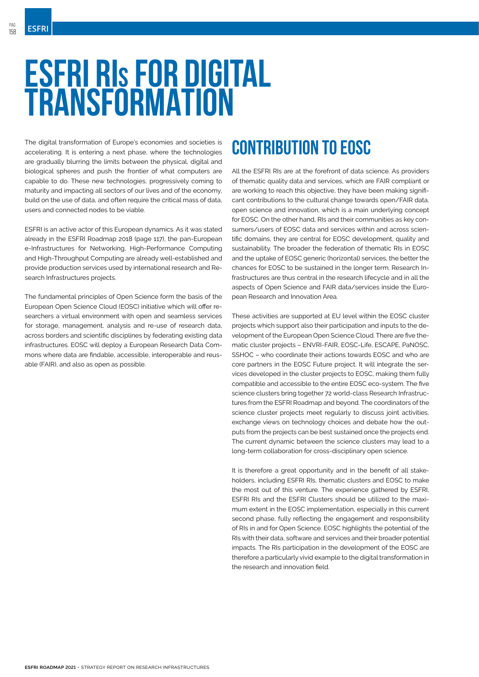# <span id="page-11-0"></span>**ESFRI RIs FOR DIGITAL TRANSFORMATION**

The digital transformation of Europe's economies and societies is accelerating. It is entering a next phase, where the technologies are gradually blurring the limits between the physical, digital and biological spheres and push the frontier of what computers are capable to do. These new technologies, progressively coming to maturity and impacting all sectors of our lives and of the economy, build on the use of data, and often require the critical mass of data, users and connected nodes to be viable.

ESFRI is an active actor of this European dynamics. As it was stated already in the ESFRI Roadmap 2018 (page 117), the pan-European e-Infrastructures for Networking, High-Performance Computing and High-Throughput Computing are already well-established and provide production services used by international research and Research Infrastructures projects.

The fundamental principles of Open Science form the basis of the European Open Science Cloud (EOSC) initiative which will offer researchers a virtual environment with open and seamless services for storage, management, analysis and re-use of research data, across borders and scientific disciplines by federating existing data infrastructures. EOSC will deploy a European Research Data Commons where data are findable, accessible, interoperable and reusable (FAIR), and also as open as possible.

## **CONTRIBUTION TO EOSC**

All the ESFRI RIs are at the forefront of data science. As providers of thematic quality data and services, which are FAIR compliant or are working to reach this objective, they have been making significant contributions to the cultural change towards open/FAIR data, open science and innovation, which is a main underlying concept for EOSC. On the other hand, RIs and their communities as key consumers/users of EOSC data and services within and across scientific domains, they are central for EOSC development, quality and sustainability. The broader the federation of thematic RIs in EOSC and the uptake of EOSC generic (horizontal) services, the better the chances for EOSC to be sustained in the longer term. Research Infrastructures are thus central in the research lifecycle and in all the aspects of Open Science and FAIR data/services inside the European Research and Innovation Area.

These activities are supported at EU level within the EOSC cluster projects which support also their participation and inputs to the development of the European Open Science Cloud. There are five thematic cluster projects – ENVRI-FAIR, EOSC-Life, ESCAPE, PaNOSC, SSHOC – who coordinate their actions towards EOSC and who are core partners in the EOSC Future project. It will integrate the services developed in the cluster projects to EOSC, making them fully compatible and accessible to the entire EOSC eco-system. The five science clusters bring together 72 world-class Research Infrastructures from the ESFRI Roadmap and beyond. The coordinators of the science cluster projects meet regularly to discuss joint activities, exchange views on technology choices and debate how the outputs from the projects can be best sustained once the projects end. The current dynamic between the science clusters may lead to a long-term collaboration for cross-disciplinary open science.

It is therefore a great opportunity and in the benefit of all stakeholders, including ESFRI RIs, thematic clusters and EOSC to make the most out of this venture. The experience gathered by ESFRI, ESFRI RIs and the ESFRI Clusters should be utilized to the maximum extent in the EOSC implementation, especially in this current second phase, fully reflecting the engagement and responsibility of RIs in and for Open Science. EOSC highlights the potential of the RIs with their data, software and services and their broader potential impacts. The RIs participation in the development of the EOSC are therefore a particularly vivid example to the digital transformation in the research and innovation field.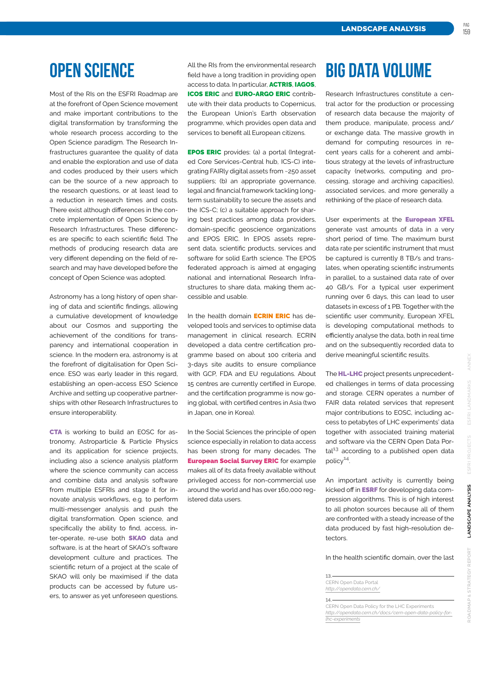## **OPEN SCIENCE**

Most of the RIs on the ESFRI Roadmap are at the forefront of Open Science movement and make important contributions to the digital transformation by transforming the whole research process according to the Open Science paradigm. The Research Infrastructures guarantee the quality of data and enable the exploration and use of data and codes produced by their users which can be the source of a new approach to the research questions, or at least lead to a reduction in research times and costs. There exist although differences in the concrete implementation of Open Science by Research Infrastructures. These differences are specific to each scientific field. The methods of producing research data are very different depending on the field of research and may have developed before the concept of Open Science was adopted.

Astronomy has a long history of open sharing of data and scientific findings, allowing a cumulative development of knowledge about our Cosmos and supporting the achievement of the conditions for transparency and international cooperation in science. In the modern era, astronomy is at the forefront of digitalisation for Open Science. ESO was early leader in this regard, establishing an open-access ESO Science Archive and setting up cooperative partnerships with other Research Infrastructures to ensure interoperability.

CTA is working to build an EOSC for astronomy, Astroparticle & Particle Physics and its application for science projects, including also a science analysis platform where the science community can access and combine data and analysis software from multiple ESFRIs and stage it for innovate analysis workflows, e.g. to perform multi-messenger analysis and push the digital transformation. Open science, and specifically the ability to find, access, inter-operate, re-use both **SKAO** data and software, is at the heart of SKAO's software development culture and practices. The scientific return of a project at the scale of SKAO will only be maximised if the data products can be accessed by future users, to answer as yet unforeseen questions. All the RIs from the environmental research field have a long tradition in providing open access to data. In particular, ACTRIS, IAGOS, ICOS ERIC and EURO-ARGO ERIC contribute with their data products to Copernicus, the European Union's Earth observation programme, which provides open data and services to benefit all European citizens.

EPOS ERIC provides: (a) a portal (Integrated Core Services-Central hub, ICS-C) integrating FAIRly digital assets from ~250 asset suppliers; (b) an appropriate governance, legal and financial framework tackling longterm sustainability to secure the assets and the ICS-C; (c) a suitable approach for sharing best practices among data providers, domain-specific geoscience organizations and EPOS ERIC. In EPOS assets represent data, scientific products, services and software for solid Earth science. The EPOS federated approach is aimed at engaging national and international Research Infrastructures to share data, making them accessible and usable.

In the health domain **ECRIN ERIC** has developed tools and services to optimise data management in clinical research. ECRIN developed a data centre certification programme based on about 100 criteria and 3-days site audits to ensure compliance with GCP, FDA and EU regulations. About 15 centres are currently certified in Europe, and the certification programme is now going global, with certified centres in Asia (two in Japan, one in Korea).

In the Social Sciences the principle of open science especially in relation to data access has been strong for many decades. The **European Social Survey ERIC** for example makes all of its data freely available without privileged access for non-commercial use around the world and has over 160,000 registered data users.

# **BIG DATA VOLUME**

Research Infrastructures constitute a central actor for the production or processing of research data because the majority of them produce, manipulate, process and/ or exchange data. The massive growth in demand for computing resources in recent years calls for a coherent and ambitious strategy at the levels of infrastructure capacity (networks, computing and processing, storage and archiving capacities), associated services, and more generally a rethinking of the place of research data.

User experiments at the **European XFEL** generate vast amounts of data in a very short period of time. The maximum burst data rate per scientific instrument that must be captured is currently 8 TB/s and translates, when operating scientific instruments in parallel, to a sustained data rate of over 40 GB/s. For a typical user experiment running over 6 days, this can lead to user datasets in excess of 1 PB. Together with the scientific user community, European XFEL is developing computational methods to efficiently analyse the data, both in real time and on the subsequently recorded data to derive meaningful scientific results.

The **HL-LHC** project presents unprecedented challenges in terms of data processing and storage. CERN operates a number of FAIR data related services that represent major contributions to EOSC, including access to petabytes of LHC experiments' data together with associated training material and software via the CERN Open Data Portal**13** according to a published open data policy**14**.

An important activity is currently being kicked off in **ESRF** for developing data compression algorithms. This is of high interest to all photon sources because all of them are confronted with a steady increase of the data produced by fast high-resolution detectors.

In the health scientific domain, over the last

**14.**

CERN Open Data Policy for the LHC Experiments<br>http://opendata.cern.ch/docs/cern-open-data-polic *[http://opendata.cern.ch/docs/cern-open-data-policy-for](http://opendata.cern.ch/docs/cern-open-data-policy-for-lhc-experiments)[lhc-experiments](http://opendata.cern.ch/docs/cern-open-data-policy-for-lhc-experiments)*

**<sup>13.</sup>**

CERN Open Data Portal *<http://opendata.cern.ch/>*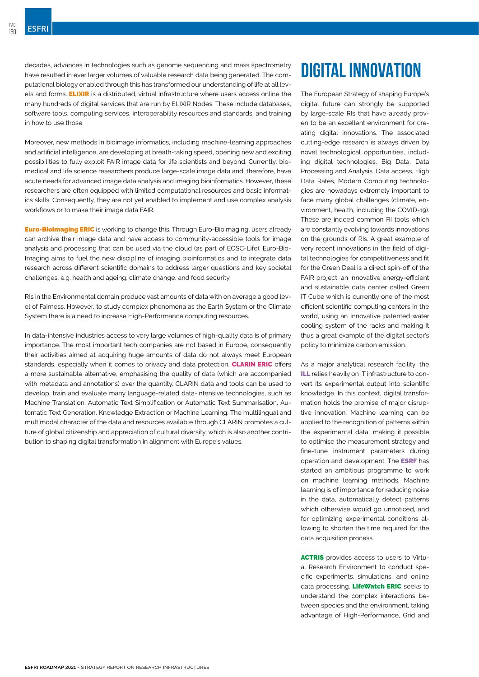decades, advances in technologies such as genome sequencing and mass spectrometry have resulted in ever larger volumes of valuable research data being generated. The computational biology enabled through this has transformed our understanding of life at all levels and forms. ELIXIR is a distributed, virtual infrastructure where users access online the many hundreds of digital services that are run by ELIXIR Nodes. These include databases, software tools, computing services, interoperability resources and standards, and training in how to use those.

Moreover, new methods in bioimage informatics, including machine-learning approaches and artificial intelligence, are developing at breath-taking speed, opening new and exciting possibilities to fully exploit FAIR image data for life scientists and beyond. Currently, biomedical and life science researchers produce large-scale image data and, therefore, have acute needs for advanced image data analysis and imaging bioinformatics. However, these researchers are often equipped with limited computational resources and basic informatics skills. Consequently, they are not yet enabled to implement and use complex analysis workflows or to make their image data FAIR.

**Euro-BioImaging ERIC** is working to change this. Through Euro-BioImaging, users already can archive their image data and have access to community-accessible tools for image analysis and processing that can be used via the cloud (as part of EOSC-Life). Euro-Bio-Imaging aims to fuel the new discipline of imaging bioinformatics and to integrate data research across different scientific domains to address larger questions and key societal challenges, e.g. health and ageing, climate change, and food security.

RIs in the Environmental domain produce vast amounts of data with on average a good level of Fairness. However, to study complex phenomena as the Earth System or the Climate System there is a need to increase High-Performance computing resources.

In data-intensive industries access to very large volumes of high-quality data is of primary importance. The most important tech companies are not based in Europe, consequently their activities aimed at acquiring huge amounts of data do not always meet European standards, especially when it comes to privacy and data protection. **CLARIN ERIC** offers a more sustainable alternative, emphasising the quality of data (which are accompanied with metadata and annotations) over the quantity. CLARIN data and tools can be used to develop, train and evaluate many language-related data-intensive technologies, such as Machine Translation, Automatic Text Simplification or Automatic Text Summarisation, Automatic Text Generation, Knowledge Extraction or Machine Learning. The multilingual and multimodal character of the data and resources available through CLARIN promotes a culture of global citizenship and appreciation of cultural diversity, which is also another contribution to shaping digital transformation in alignment with Europe's values.

# **DIGITAL INNOVATION**

The European Strategy of shaping Europe's digital future can strongly be supported by large-scale RIs that have already proven to be an excellent environment for creating digital innovations. The associated cutting-edge research is always driven by novel technological opportunities, including digital technologies. Big Data, Data Processing and Analysis, Data access, High Data Rates, Modern Computing technologies are nowadays extremely important to face many global challenges (climate, environment, health, including the COVID-19). These are indeed common RI tools which are constantly evolving towards innovations on the grounds of RIs. A great example of very recent innovations in the field of digital technologies for competitiveness and fit for the Green Deal is a direct spin-off of the FAIR project, an innovative energy-efficient and sustainable data center called Green IT Cube which is currently one of the most efficient scientific computing centers in the world, using an innovative patented water cooling system of the racks and making it thus a great example of the digital sector's policy to minimize carbon emission.

As a major analytical research facility, the ILL relies heavily on IT infrastructure to convert its experimental output into scientific knowledge. In this context, digital transformation holds the promise of major disruptive innovation. Machine learning can be applied to the recognition of patterns within the experimental data, making it possible to optimise the measurement strategy and fine-tune instrument parameters during operation and development. The ESRF has started an ambitious programme to work on machine learning methods. Machine learning is of importance for reducing noise in the data, automatically detect patterns which otherwise would go unnoticed, and for optimizing experimental conditions allowing to shorten the time required for the data acquisition process.

ACTRIS provides access to users to Virtual Research Environment to conduct specific experiments, simulations, and online data processing. LifeWatch ERIC seeks to understand the complex interactions between species and the environment, taking advantage of High-Performance, Grid and